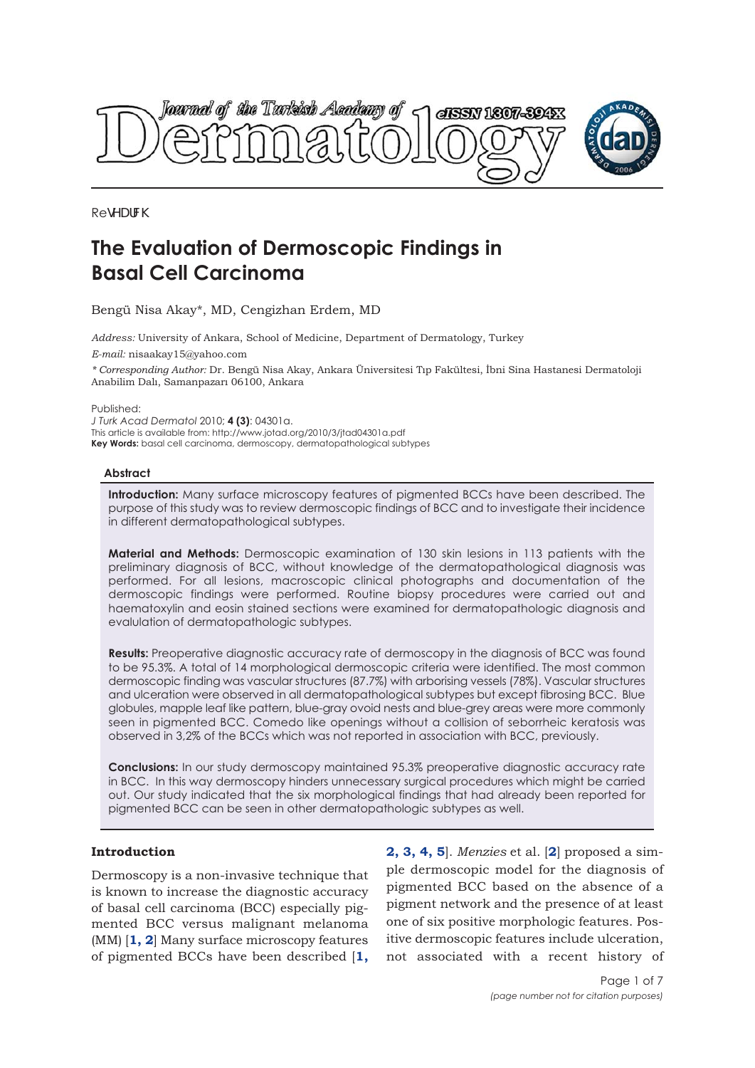



**RedYUfW** 

# **The Evaluation of Dermoscopic Findings in Basal Cell Carcinoma**

Bengü Nisa Akay\*, MD, Cengizhan Erdem, MD

*Address:* University of Ankara, School of Medicine, Department of Dermatology, Turkey *E-mail:* nisaakay15@yahoo.com

*\* Corresponding Author:* Dr. Bengü Nisa Akay, Ankara Üniversitesi Tıp Fakültesi, İbni Sina Hastanesi Dermatoloji Anabilim Dalı, Samanpazarı 06100, Ankara

Published:

*J Turk Acad Dermatol* 2010; **4 (3)**: 04301a. This article is available from: http://www.jotad.org/2010/3/jtad04301a.pdf **Key Words:** basal cell carcinoma, dermoscopy, dermatopathological subtypes

# **Abstract**

**Introduction:** Many surface microscopy features of pigmented BCCs have been described. The purpose of this study was to review dermoscopic findings of BCC and to investigate their incidence in different dermatopathological subtypes.

**Material and Methods:** Dermoscopic examination of 130 skin lesions in 113 patients with the preliminary diagnosis of BCC, without knowledge of the dermatopathological diagnosis was performed. For all lesions, macroscopic clinical photographs and documentation of the dermoscopic findings were performed. Routine biopsy procedures were carried out and haematoxylin and eosin stained sections were examined for dermatopathologic diagnosis and evalulation of dermatopathologic subtypes.

**Results:** Preoperative diagnostic accuracy rate of dermoscopy in the diagnosis of BCC was found to be 95.3%. A total of 14 morphological dermoscopic criteria were identified. The most common dermoscopic finding was vascular structures (87.7%) with arborising vessels (78%). Vascular structures and ulceration were observed in all dermatopathological subtypes but except fibrosing BCC. Blue globules, mapple leaf like pattern, blue-gray ovoid nests and blue-grey areas were more commonly seen in pigmented BCC. Comedo like openings without a collision of seborrheic keratosis was observed in 3,2% of the BCCs which was not reported in association with BCC, previously.

**Conclusions:** In our study dermoscopy maintained 95.3% preoperative diagnostic accuracy rate in BCC. In this way dermoscopy hinders unnecessary surgical procedures which might be carried out. Our study indicated that the six morphological findings that had already been reported for pigmented BCC can be seen in other dermatopathologic subtypes as well.

# **Introduction**

Dermoscopy is a non-invasive technique that is known to increase the diagnostic accuracy of basal cell carcinoma (BCC) especially pigmented BCC versus malignant melanoma (MM) [**1, 2**] Many surface microscopy features of pigmented BCCs have been described [**1,**

**2, 3, 4, 5**]. *Menzies* et al. [**2**] proposed a simple dermoscopic model for the diagnosis of pigmented BCC based on the absence of a pigment network and the presence of at least one of six positive morphologic features. Positive dermoscopic features include ulceration, not associated with a recent history of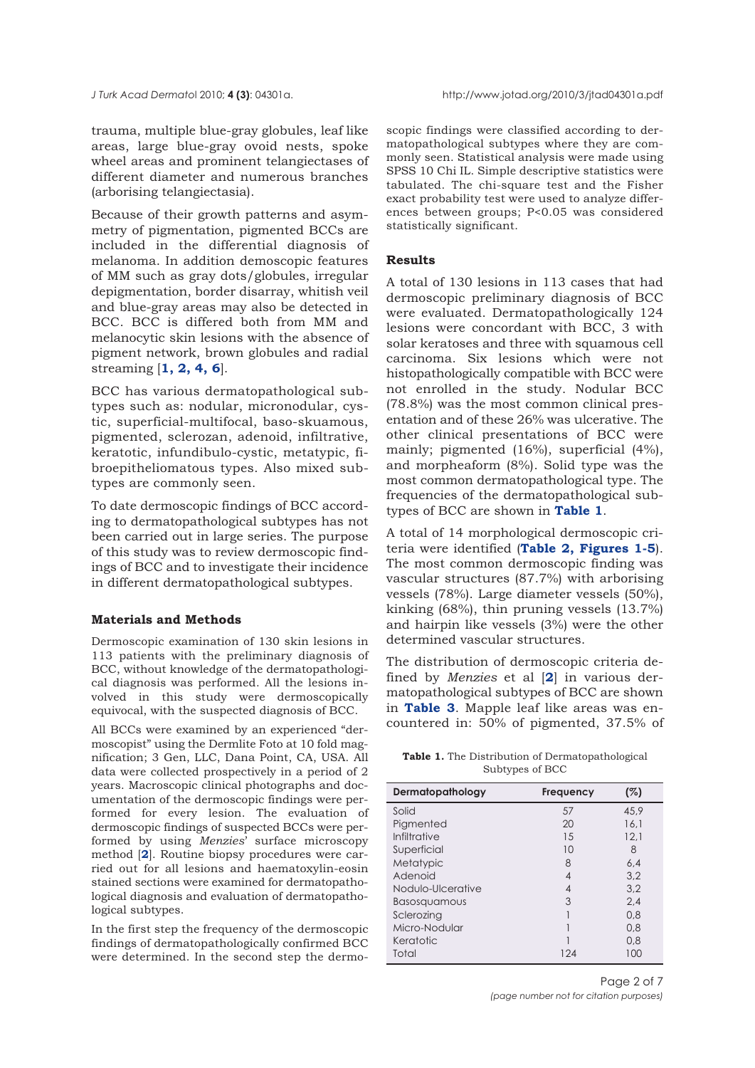trauma, multiple blue-gray globules, leaf like areas, large blue-gray ovoid nests, spoke wheel areas and prominent telangiectases of different diameter and numerous branches (arborising telangiectasia).

Because of their growth patterns and asymmetry of pigmentation, pigmented BCCs are included in the differential diagnosis of melanoma. In addition demoscopic features of MM such as gray dots/globules, irregular depigmentation, border disarray, whitish veil and blue-gray areas may also be detected in BCC. BCC is differed both from MM and melanocytic skin lesions with the absence of pigment network, brown globules and radial streaming [**1, 2, 4, 6**].

BCC has various dermatopathological subtypes such as: nodular, micronodular, cystic, superficial-multifocal, baso-skuamous, pigmented, sclerozan, adenoid, infiltrative, keratotic, infundibulo-cystic, metatypic, fibroepitheliomatous types. Also mixed subtypes are commonly seen.

To date dermoscopic findings of BCC according to dermatopathological subtypes has not been carried out in large series. The purpose of this study was to review dermoscopic findings of BCC and to investigate their incidence in different dermatopathological subtypes.

#### **Materials and Methods**

Dermoscopic examination of 130 skin lesions in 113 patients with the preliminary diagnosis of BCC, without knowledge of the dermatopathological diagnosis was performed. All the lesions involved in this study were dermoscopically equivocal, with the suspected diagnosis of BCC.

All BCCs were examined by an experienced "dermoscopist" using the Dermlite Foto at 10 fold magnification; 3 Gen, LLC, Dana Point, CA, USA. All data were collected prospectively in a period of 2 years. Macroscopic clinical photographs and documentation of the dermoscopic findings were performed for every lesion. The evaluation of dermoscopic findings of suspected BCCs were performed by using *Menzies*' surface microscopy method [**2**]. Routine biopsy procedures were carried out for all lesions and haematoxylin-eosin stained sections were examined for dermatopathological diagnosis and evaluation of dermatopathological subtypes.

In the first step the frequency of the dermoscopic findings of dermatopathologically confirmed BCC were determined. In the second step the dermoscopic findings were classified according to dermatopathological subtypes where they are commonly seen. Statistical analysis were made using SPSS 10 Chi IL. Simple descriptive statistics were tabulated. The chi-square test and the Fisher exact probability test were used to analyze differences between groups; P<0.05 was considered statistically significant.

# **Results**

A total of 130 lesions in 113 cases that had dermoscopic preliminary diagnosis of BCC were evaluated. Dermatopathologically 124 lesions were concordant with BCC, 3 with solar keratoses and three with squamous cell carcinoma. Six lesions which were not histopathologically compatible with BCC were not enrolled in the study. Nodular BCC (78.8%) was the most common clinical presentation and of these 26% was ulcerative. The other clinical presentations of BCC were mainly; pigmented (16%), superficial (4%), and morpheaform (8%). Solid type was the most common dermatopathological type. The frequencies of the dermatopathological subtypes of BCC are shown in **Table 1**.

A total of 14 morphological dermoscopic criteria were identified (**Table 2, Figures 1-5**). The most common dermoscopic finding was vascular structures (87.7%) with arborising vessels (78%). Large diameter vessels (50%), kinking (68%), thin pruning vessels (13.7%) and hairpin like vessels (3%) were the other determined vascular structures.

The distribution of dermoscopic criteria defined by *Menzies* et al [**2**] in various dermatopathological subtypes of BCC are shown in **Table 3**. Mapple leaf like areas was encountered in: 50% of pigmented, 37.5% of

**Table 1.** The Distribution of Dermatopathological Subtypes of BCC

| Dermatopathology    | Frequency | (%)  |
|---------------------|-----------|------|
| Solid               | 57        | 45.9 |
| Pigmented           | 20        | 16.1 |
| Infiltrative        | 1.5       | 12.1 |
| Superficial         | 10        | 8    |
| Metatypic           | 8         | 6.4  |
| Adenoid             | 4         | 3.2  |
| Nodulo-Ulcerative   | 4         | 3.2  |
| <b>Basosquamous</b> | 3         | 2.4  |
| Sclerozing          |           | 0,8  |
| Micro-Nodular       |           | 0,8  |
| Keratotic           |           | 0,8  |
| Total               | 124       | 100  |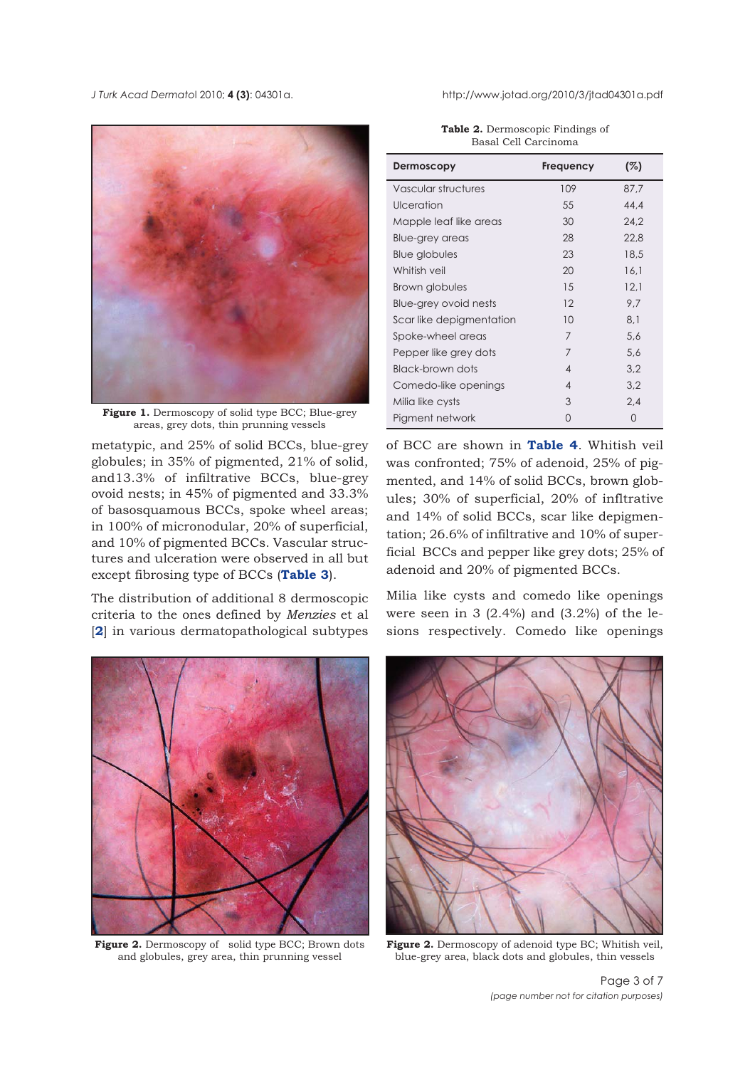*J Turk Acad Dermato*l 2010; **4 (3)**: 04301a. http://www.jotad.org/2010/3/jtad04301a.pdf



**Figure 1.** Dermoscopy of solid type BCC; Blue-grey areas, grey dots, thin prunning vessels

metatypic, and 25% of solid BCCs, blue-grey globules; in 35% of pigmented, 21% of solid, and13.3% of infiltrative BCCs, blue-grey ovoid nests; in 45% of pigmented and 33.3% of basosquamous BCCs, spoke wheel areas; in 100% of micronodular, 20% of superficial, and 10% of pigmented BCCs. Vascular structures and ulceration were observed in all but except fibrosing type of BCCs (**Table 3**).

The distribution of additional 8 dermoscopic criteria to the ones defined by *Menzies* et al [**2**] in various dermatopathological subtypes



Figure 2. Dermoscopy of solid type BCC; Brown dots and globules, grey area, thin prunning vessel

| <b>Table 2.</b> Dermoscopic Findings of |  |
|-----------------------------------------|--|
| Basal Cell Carcinoma                    |  |

| Dermoscopy               | Frequency      | (%)  |
|--------------------------|----------------|------|
| Vascular structures      | 109            | 87.7 |
| Ulceration               | 55             | 44.4 |
| Mapple leaf like areas   | 30             | 24.2 |
| Blue-grey areas          | 28             | 22,8 |
| Blue globules            | 23             | 18.5 |
| Whitish veil             | 20             | 16.1 |
| Brown globules           | 15             | 12,1 |
| Blue-grey ovoid nests    | 12             | 9.7  |
| Scar like depigmentation | 10             | 8.1  |
| Spoke-wheel areas        | 7              | 5,6  |
| Pepper like grey dots    | $\overline{7}$ | 5,6  |
| Black-brown dots         | $\overline{4}$ | 3,2  |
| Comedo-like openings     | $\overline{4}$ | 3.2  |
| Milia like cysts         | 3              | 2.4  |
| Pigment network          | O              | O    |

of BCC are shown in **Table 4**. Whitish veil was confronted; 75% of adenoid, 25% of pigmented, and 14% of solid BCCs, brown globules; 30% of superficial, 20% of infltrative and 14% of solid BCCs, scar like depigmentation; 26.6% of infiltrative and 10% of superficial BCCs and pepper like grey dots; 25% of adenoid and 20% of pigmented BCCs.

Milia like cysts and comedo like openings were seen in 3  $(2.4\%)$  and  $(3.2\%)$  of the lesions respectively. Comedo like openings



Figure 2. Dermoscopy of adenoid type BC; Whitish veil, blue-grey area, black dots and globules, thin vessels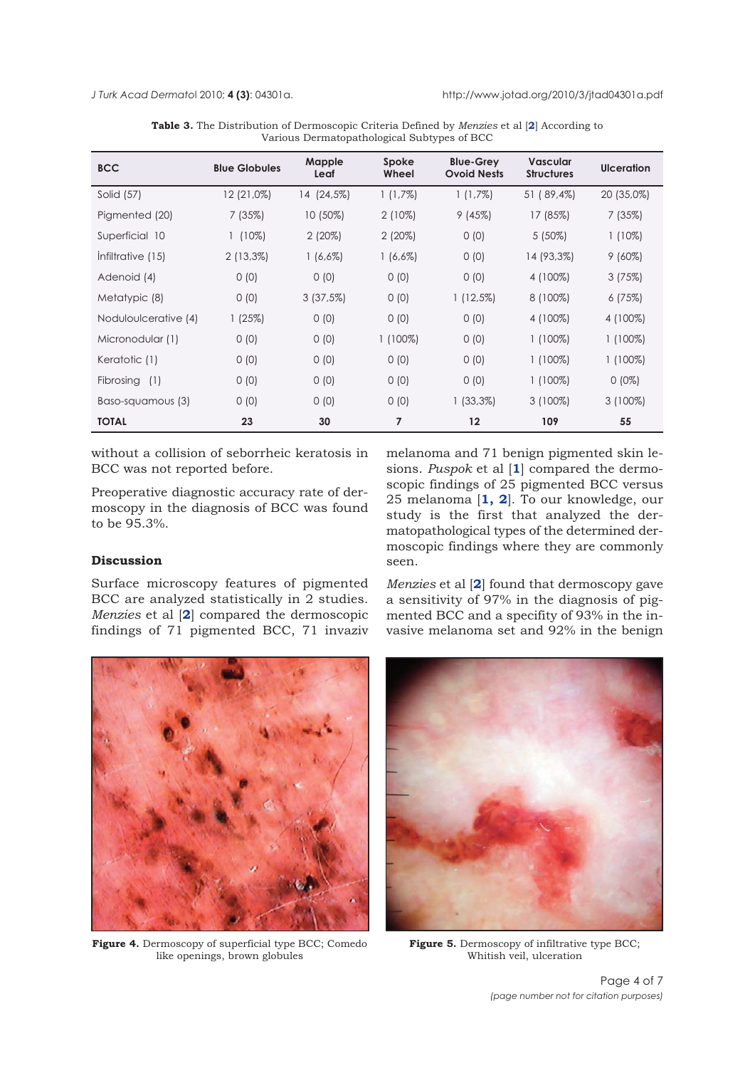| <b>BCC</b>           | <b>Blue Globules</b> | Mapple<br>Leaf | Spoke<br>Wheel | <b>Blue-Grey</b><br><b>Ovoid Nests</b> | <b>Vascular</b><br><b>Structures</b> | <b>Ulceration</b> |
|----------------------|----------------------|----------------|----------------|----------------------------------------|--------------------------------------|-------------------|
| Solid (57)           | 12 (21,0%)           | 14 (24,5%)     | $1(1,7\%)$     | $1(1,7\%)$                             | 51 (89,4%)                           | 20 (35,0%)        |
| Pigmented (20)       | 7(35%)               | $10(50\%)$     | $2(10\%)$      | 9(45%)                                 | 17 (85%)                             | 7(35%)            |
| Superficial 10       | $1(10\%)$            | $2(20\%)$      | $2(20\%)$      | 0(0)                                   | $5(50\%)$                            | $1(10\%)$         |
| Infiltrative (15)    | $2(13,3\%)$          | $1(6,6\%)$     | $1(6,6\%)$     | 0(0)                                   | 14 (93,3%)                           | $9(60\%)$         |
| Adenoid (4)          | 0(0)                 | 0(0)           | 0(0)           | 0(0)                                   | 4 (100%)                             | 3(75%)            |
| Metatypic (8)        | 0(0)                 | $3(37,5\%)$    | 0(0)           | $1(12,5\%)$                            | 8 (100%)                             | 6(75%)            |
| Noduloulcerative (4) | 1(25%)               | 0(0)           | 0(0)           | 0(0)                                   | 4 (100%)                             | 4 (100%)          |
| Micronodular (1)     | 0(0)                 | 0(0)           | $1(100\%)$     | 0(0)                                   | $1(100\%)$                           | $1(100\%)$        |
| Keratotic (1)        | 0(0)                 | 0(0)           | 0(0)           | 0(0)                                   | $1(100\%)$                           | $1(100\%)$        |
| Fibrosing<br>(1)     | 0(0)                 | 0(0)           | 0(0)           | 0(0)                                   | $1(100\%)$                           | $0(0\%)$          |
| Baso-squamous (3)    | 0(0)                 | 0(0)           | 0(0)           | $1(33,3\%)$                            | $3(100\%)$                           | $3(100\%)$        |
| <b>TOTAL</b>         | 23                   | 30             | 7              | $12 \overline{ }$                      | 109                                  | 55                |

**Table 3.** The Distribution of Dermoscopic Criteria Defined by *Menzies* et al [**2**] According to Various Dermatopathological Subtypes of BCC

without a collision of seborrheic keratosis in BCC was not reported before.

Preoperative diagnostic accuracy rate of dermoscopy in the diagnosis of BCC was found to be 95.3%.

melanoma and 71 benign pigmented skin lesions. *Puspok* et al [**1**] compared the dermoscopic findings of 25 pigmented BCC versus 25 melanoma [**1, 2**]. To our knowledge, our study is the first that analyzed the dermatopathological types of the determined dermoscopic findings where they are commonly seen.

# **Discussion**

Surface microscopy features of pigmented BCC are analyzed statistically in 2 studies. *Menzies* et al [**2**] compared the dermoscopic findings of 71 pigmented BCC, 71 invaziv

*Menzies* et al [**2**] found that dermoscopy gave a sensitivity of 97% in the diagnosis of pigmented BCC and a specifity of 93% in the invasive melanoma set and 92% in the benign



**Figure 4.** Dermoscopy of superficial type BCC; Comedo like openings, brown globules



**Figure 5.** Dermoscopy of infiltrative type BCC; Whitish veil, ulceration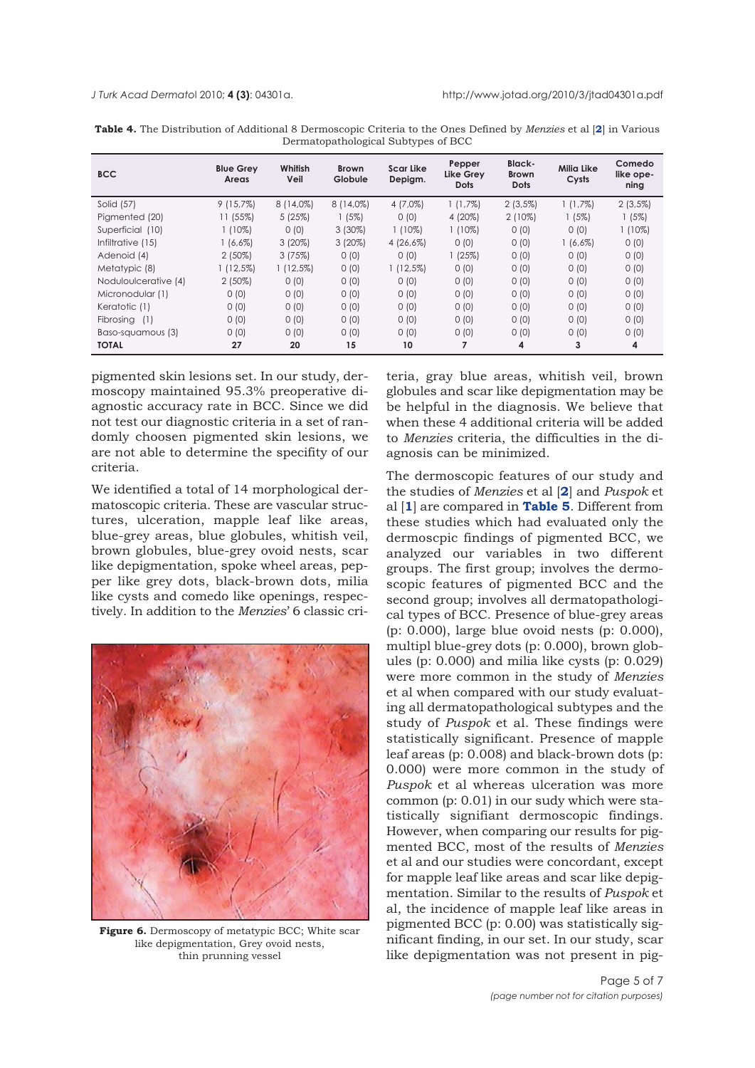| <b>BCC</b>           | <b>Blue Grey</b><br>Areas | Whitish<br>Veil | <b>Brown</b><br>Globule | <b>Scar Like</b><br>Depigm. | Pepper<br>Like Grey<br><b>Dots</b> | Black-<br><b>Brown</b><br><b>Dots</b> | Milia Like<br>Cysts | Comedo<br>like ope-<br>ning |
|----------------------|---------------------------|-----------------|-------------------------|-----------------------------|------------------------------------|---------------------------------------|---------------------|-----------------------------|
| Solid (57)           | $9(15,7\%)$               | $8(14,0\%)$     | $8(14,0\%)$             | $4(7,0\%)$                  | $1(1,7\%)$                         | $2(3,5\%)$                            | $1(1,7\%)$          | $2(3,5\%)$                  |
| Pigmented (20)       | 11 (55%)                  | 5(25%)          | 1(5%)                   | 0(0)                        | 4 (20%)                            | $2(10\%)$                             | $1(5\%)$            | 1(5%)                       |
| Superficial (10)     | $1(10\%)$                 | 0(0)            | $3(30\%)$               | $1(10\%)$                   | $1(10\%)$                          | 0(0)                                  | 0(0)                | $1(10\%)$                   |
| Infiltrative (15)    | $1(6,6\%)$                | $3(20\%)$       | $3(20\%)$               | $4(26,6\%)$                 | 0(0)                               | 0(0)                                  | $1(6,6\%)$          | 0(0)                        |
| Adenoid (4)          | $2(50\%)$                 | 3(75%)          | 0(0)                    | 0(0)                        | 1(25%)                             | 0(0)                                  | 0(0)                | 0(0)                        |
| Metatypic (8)        | $1(12,5\%)$               | $1(12,5\%)$     | 0(0)                    | $1(12,5\%)$                 | 0(0)                               | 0(0)                                  | 0(0)                | 0(0)                        |
| Noduloulcerative (4) | $2(50\%)$                 | 0(0)            | 0(0)                    | 0(0)                        | 0(0)                               | 0(0)                                  | 0(0)                | 0(0)                        |
| Micronodular (1)     | 0(0)                      | 0(0)            | 0(0)                    | 0(0)                        | 0(0)                               | 0(0)                                  | 0(0)                | 0(0)                        |
| Keratotic (1)        | 0(0)                      | 0(0)            | 0(0)                    | 0(0)                        | 0(0)                               | 0(0)                                  | 0(0)                | 0(0)                        |
| Fibrosing (1)        | 0(0)                      | 0(0)            | 0(0)                    | 0(0)                        | 0(0)                               | 0(0)                                  | 0(0)                | 0(0)                        |
| Baso-squamous (3)    | 0(0)                      | 0(0)            | 0(0)                    | 0(0)                        | 0(0)                               | 0(0)                                  | 0(0)                | 0(0)                        |
| <b>TOTAL</b>         | 27                        | 20              | 15                      | 10                          | 7                                  | 4                                     | 3                   | 4                           |

**Table 4.** The Distribution of Additional 8 Dermoscopic Criteria to the Ones Defined by *Menzies* et al [**2**] in Various Dermatopathological Subtypes of BCC

pigmented skin lesions set. In our study, dermoscopy maintained 95.3% preoperative diagnostic accuracy rate in BCC. Since we did not test our diagnostic criteria in a set of randomly choosen pigmented skin lesions, we are not able to determine the specifity of our criteria.

We identified a total of 14 morphological dermatoscopic criteria. These are vascular structures, ulceration, mapple leaf like areas, blue-grey areas, blue globules, whitish veil, brown globules, blue-grey ovoid nests, scar like depigmentation, spoke wheel areas, pepper like grey dots, black-brown dots, milia like cysts and comedo like openings, respectively. In addition to the *Menzies*' 6 classic cri-



Figure 6. Dermoscopy of metatypic BCC; White scar like depigmentation, Grey ovoid nests, thin prunning vessel

teria, gray blue areas, whitish veil, brown globules and scar like depigmentation may be be helpful in the diagnosis. We believe that when these 4 additional criteria will be added to *Menzies* criteria, the difficulties in the diagnosis can be minimized.

The dermoscopic features of our study and the studies of *Menzies* et al [**2**] and *Puspok* et al [**1**] are compared in **Table 5**. Different from these studies which had evaluated only the dermoscpic findings of pigmented BCC, we analyzed our variables in two different groups. The first group; involves the dermoscopic features of pigmented BCC and the second group; involves all dermatopathological types of BCC. Presence of blue-grey areas (p: 0.000), large blue ovoid nests (p: 0.000), multipl blue-grey dots (p: 0.000), brown globules (p: 0.000) and milia like cysts (p: 0.029) were more common in the study of *Menzies* et al when compared with our study evaluating all dermatopathological subtypes and the study of *Puspok* et al. These findings were statistically significant. Presence of mapple leaf areas (p: 0.008) and black-brown dots (p: 0.000) were more common in the study of *Puspok* et al whereas ulceration was more common (p: 0.01) in our sudy which were statistically signifiant dermoscopic findings. However, when comparing our results for pigmented BCC, most of the results of *Menzies* et al and our studies were concordant, except for mapple leaf like areas and scar like depigmentation. Similar to the results of *Puspok* et al, the incidence of mapple leaf like areas in pigmented BCC (p: 0.00) was statistically significant finding, in our set. In our study, scar like depigmentation was not present in pig-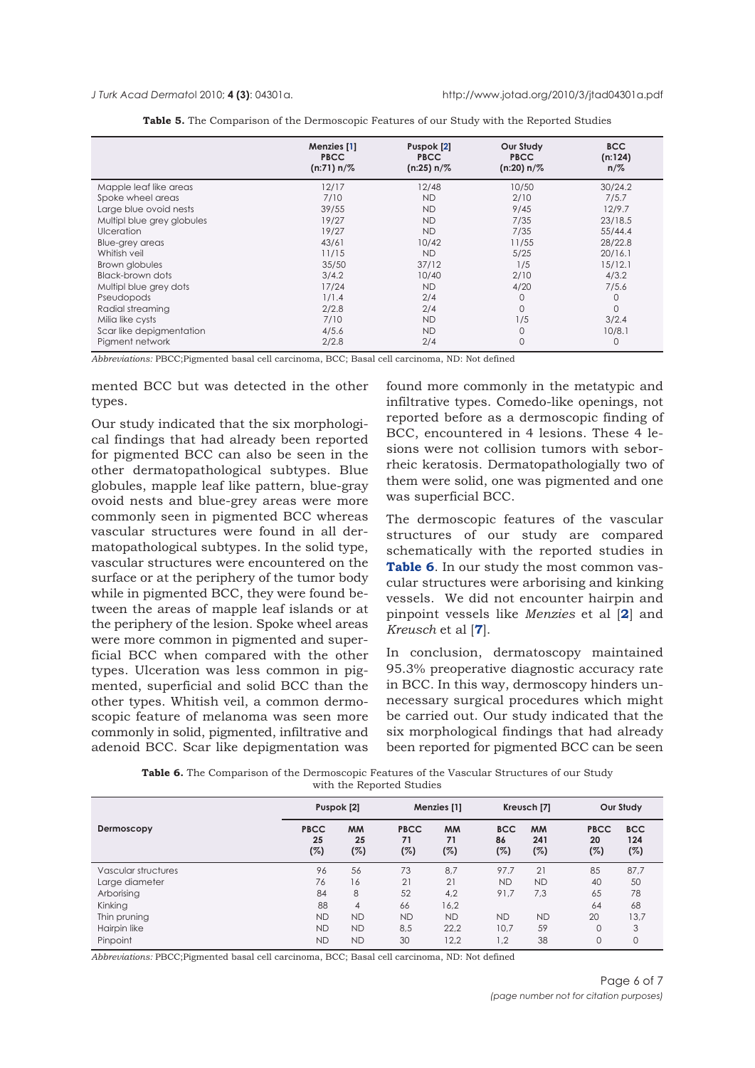*J Turk Acad Dermato*l 2010; **4 (3)**: 04301a. http://www.jotad.org/2010/3/jtad04301a.pdf

|                            | Menzies [1]<br><b>PBCC</b><br>$(n:71) n/\%$ | Puspok [2]<br><b>PBCC</b><br>$(n:25) n/\%$ | Our Study<br><b>PBCC</b><br>$(n:20) n/\%$ | <b>BCC</b><br>(n:124)<br>$n/\%$ |
|----------------------------|---------------------------------------------|--------------------------------------------|-------------------------------------------|---------------------------------|
| Mapple leaf like areas     | 12/17                                       | 12/48                                      | 10/50                                     | 30/24.2                         |
| Spoke wheel areas          | 7/10                                        | <b>ND</b>                                  | 2/10                                      | 7/5.7                           |
| Large blue ovoid nests     | 39/55                                       | <b>ND</b>                                  | 9/45                                      | 12/9.7                          |
| Multipl blue grey globules | 19/27                                       | <b>ND</b>                                  | 7/35                                      | 23/18.5                         |
| <b>Ulceration</b>          | 19/27                                       | <b>ND</b>                                  | 7/35                                      | 55/44.4                         |
| Blue-grey areas            | 43/61                                       | 10/42                                      | 11/55                                     | 28/22.8                         |
| Whitish veil               | 11/15                                       | <b>ND</b>                                  | 5/25                                      | 20/16.1                         |
| Brown globules             | 35/50                                       | 37/12                                      | 1/5                                       | 15/12.1                         |
| Black-brown dots           | 3/4.2                                       | 10/40                                      | 2/10                                      | 4/3.2                           |
| Multipl blue grey dots     | 17/24                                       | <b>ND</b>                                  | 4/20                                      | 7/5.6                           |
| Pseudopods                 | 1/1.4                                       | 2/4                                        | 0                                         | 0                               |
| Radial streaming           | 2/2.8                                       | 2/4                                        | 0                                         | $\Omega$                        |
| Milia like cysts           | 7/10                                        | <b>ND</b>                                  | 1/5                                       | 3/2.4                           |
| Scar like depigmentation   | 4/5.6                                       | <b>ND</b>                                  | 0                                         | 10/8.1                          |
| Pigment network            | 2/2.8                                       | 2/4                                        | 0                                         | 0                               |

| <b>Table 5.</b> The Comparison of the Dermoscopic Features of our Study with the Reported Studies |  |  |
|---------------------------------------------------------------------------------------------------|--|--|
|---------------------------------------------------------------------------------------------------|--|--|

*Abbreviations:* PBCC;Pigmented basal cell carcinoma, BCC; Basal cell carcinoma, ND: Not defined

mented BCC but was detected in the other types.

Our study indicated that the six morphological findings that had already been reported for pigmented BCC can also be seen in the other dermatopathological subtypes. Blue globules, mapple leaf like pattern, blue-gray ovoid nests and blue-grey areas were more commonly seen in pigmented BCC whereas vascular structures were found in all dermatopathological subtypes. In the solid type, vascular structures were encountered on the surface or at the periphery of the tumor body while in pigmented BCC, they were found between the areas of mapple leaf islands or at the periphery of the lesion. Spoke wheel areas were more common in pigmented and superficial BCC when compared with the other types. Ulceration was less common in pigmented, superficial and solid BCC than the other types. Whitish veil, a common dermoscopic feature of melanoma was seen more commonly in solid, pigmented, infiltrative and adenoid BCC. Scar like depigmentation was

found more commonly in the metatypic and infiltrative types. Comedo-like openings, not reported before as a dermoscopic finding of BCC, encountered in 4 lesions. These 4 lesions were not collision tumors with seborrheic keratosis. Dermatopathologially two of them were solid, one was pigmented and one was superficial BCC.

The dermoscopic features of the vascular structures of our study are compared schematically with the reported studies in **Table 6**. In our study the most common vascular structures were arborising and kinking vessels. We did not encounter hairpin and pinpoint vessels like *Menzies* et al [**2**] and *Kreusch* et al [**7**].

In conclusion, dermatoscopy maintained 95.3% preoperative diagnostic accuracy rate in BCC. In this way, dermoscopy hinders unnecessary surgical procedures which might be carried out. Our study indicated that the six morphological findings that had already been reported for pigmented BCC can be seen

| <b>Table 6.</b> The Comparison of the Dermoscopic Features of the Vascular Structures of our Study |  |
|----------------------------------------------------------------------------------------------------|--|
| with the Reported Studies                                                                          |  |

|                     | Puspok [2]               |                        |                          | Menzies [1]            |                         | Kreusch [7]             |                          | Our Study                |  |
|---------------------|--------------------------|------------------------|--------------------------|------------------------|-------------------------|-------------------------|--------------------------|--------------------------|--|
| Dermoscopy          | <b>PBCC</b><br>25<br>(%) | <b>MM</b><br>25<br>(%) | <b>PBCC</b><br>71<br>(%) | <b>MM</b><br>71<br>(%) | <b>BCC</b><br>86<br>(%) | <b>MM</b><br>241<br>(%) | <b>PBCC</b><br>20<br>(%) | <b>BCC</b><br>124<br>(%) |  |
| Vascular structures | 96                       | 56                     | 73                       | 8,7                    | 97.7                    | 21                      | 85                       | 87,7                     |  |
| Large diameter      | 76                       | 16                     | 21                       | 21                     | <b>ND</b>               | <b>ND</b>               | 40                       | 50                       |  |
| Arborising          | 84                       | 8                      | 52                       | 4.2                    | 91.7                    | 7.3                     | 65                       | 78                       |  |
| Kinking             | 88                       | 4                      | 66                       | 16,2                   |                         |                         | 64                       | 68                       |  |
| Thin pruning        | <b>ND</b>                | <b>ND</b>              | <b>ND</b>                | <b>ND</b>              | <b>ND</b>               | <b>ND</b>               | 20                       | 13,7                     |  |
| Hairpin like        | <b>ND</b>                | <b>ND</b>              | 8,5                      | 22.2                   | 10.7                    | 59                      | $\mathbf 0$              | 3                        |  |
| Pinpoint            | <b>ND</b>                | <b>ND</b>              | 30                       | 12.2                   | 1.2                     | 38                      | 0                        | 0                        |  |

*Abbreviations:* PBCC;Pigmented basal cell carcinoma, BCC; Basal cell carcinoma, ND: Not defined